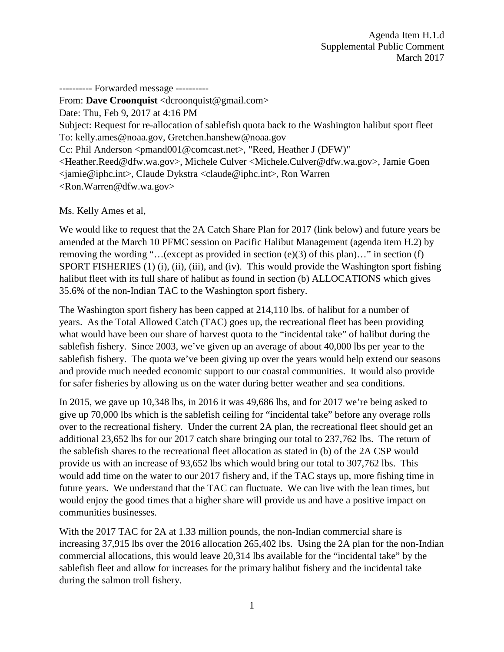---------- Forwarded message ----------

From: **Dave Croonquist** <dcroonquist@gmail.com> Date: Thu, Feb 9, 2017 at 4:16 PM Subject: Request for re-allocation of sablefish quota back to the Washington halibut sport fleet To: kelly.ames@noaa.gov, Gretchen.hanshew@noaa.gov Cc: Phil Anderson <pmand001@comcast.net>, "Reed, Heather J (DFW)" <Heather.Reed@dfw.wa.gov>, Michele Culver <Michele.Culver@dfw.wa.gov>, Jamie Goen <jamie@iphc.int>, Claude Dykstra <claude@iphc.int>, Ron Warren <Ron.Warren@dfw.wa.gov>

Ms. Kelly Ames et al,

We would like to request that the 2A Catch Share Plan for 2017 (link below) and future years be amended at the March 10 PFMC session on Pacific Halibut Management (agenda item H.2) by removing the wording "...(except as provided in section (e)(3) of this plan)..." in section (f) SPORT FISHERIES (1) (i), (ii), (iii), and (iv). This would provide the Washington sport fishing halibut fleet with its full share of halibut as found in section (b) ALLOCATIONS which gives 35.6% of the non-Indian TAC to the Washington sport fishery.

The Washington sport fishery has been capped at 214,110 lbs. of halibut for a number of years. As the Total Allowed Catch (TAC) goes up, the recreational fleet has been providing what would have been our share of harvest quota to the "incidental take" of halibut during the sablefish fishery. Since 2003, we've given up an average of about 40,000 lbs per year to the sablefish fishery. The quota we've been giving up over the years would help extend our seasons and provide much needed economic support to our coastal communities. It would also provide for safer fisheries by allowing us on the water during better weather and sea conditions.

In 2015, we gave up 10,348 lbs, in 2016 it was 49,686 lbs, and for 2017 we're being asked to give up 70,000 lbs which is the sablefish ceiling for "incidental take" before any overage rolls over to the recreational fishery. Under the current 2A plan, the recreational fleet should get an additional 23,652 lbs for our 2017 catch share bringing our total to 237,762 lbs. The return of the sablefish shares to the recreational fleet allocation as stated in (b) of the 2A CSP would provide us with an increase of 93,652 lbs which would bring our total to 307,762 lbs. This would add time on the water to our 2017 fishery and, if the TAC stays up, more fishing time in future years. We understand that the TAC can fluctuate. We can live with the lean times, but would enjoy the good times that a higher share will provide us and have a positive impact on communities businesses.

With the 2017 TAC for 2A at 1.33 million pounds, the non-Indian commercial share is increasing 37,915 lbs over the 2016 allocation 265,402 lbs. Using the 2A plan for the non-Indian commercial allocations, this would leave 20,314 lbs available for the "incidental take" by the sablefish fleet and allow for increases for the primary halibut fishery and the incidental take during the salmon troll fishery.